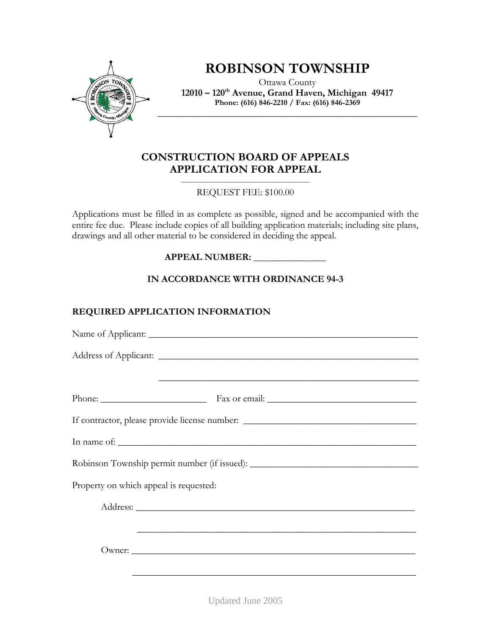

## **ROBINSON TOWNSHIP**

Ottawa County **12010 – 120th Avenue, Grand Haven, Michigan 49417 Phone: (616) 846-2210 / Fax: (616) 846-2369** 

**\_\_\_\_\_\_\_\_\_\_\_\_\_\_\_\_\_\_\_\_\_\_\_\_\_\_\_\_\_\_\_\_\_\_\_\_\_\_\_\_\_\_\_\_\_\_\_\_\_\_\_\_\_\_** 

## **CONSTRUCTION BOARD OF APPEALS APPLICATION FOR APPEAL**

 $\overline{\phantom{a}}$  , and the set of the set of the set of the set of the set of the set of the set of the set of the set of the set of the set of the set of the set of the set of the set of the set of the set of the set of the s REQUEST FEE: \$100.00

Applications must be filled in as complete as possible, signed and be accompanied with the entire fee due. Please include copies of all building application materials; including site plans, drawings and all other material to be considered in deciding the appeal.

**APPEAL NUMBER: \_\_\_\_\_\_\_\_\_\_\_\_\_\_\_** 

**IN ACCORDANCE WITH ORDINANCE 94-3** 

## **REQUIRED APPLICATION INFORMATION**

| <u> 2000 - Jan James James James James James James James James James James James James James James James James J</u> |
|----------------------------------------------------------------------------------------------------------------------|
|                                                                                                                      |
| If contractor, please provide license number: __________________________________                                     |
|                                                                                                                      |
| Robinson Township permit number (if issued): ___________________________________                                     |
| Property on which appeal is requested:                                                                               |
|                                                                                                                      |
| <u> 1990 - Jan James James James James James James James James James James James James James James James James J</u> |
| Owner:                                                                                                               |